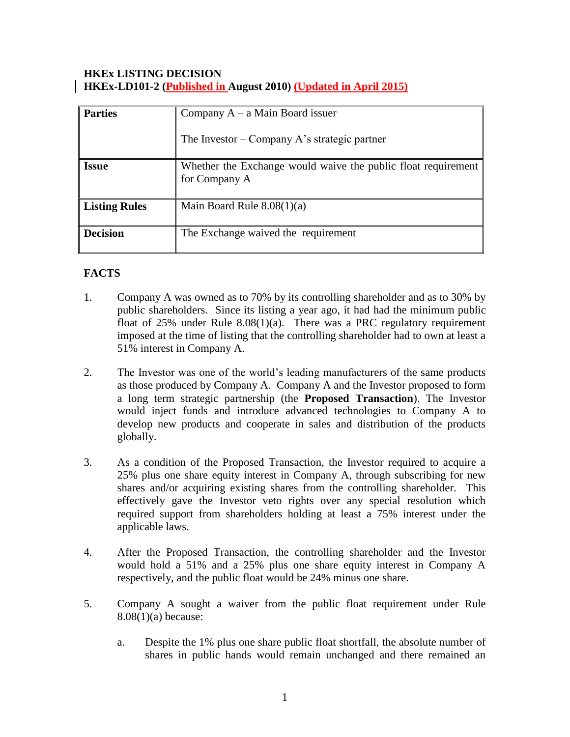### **HKEx LISTING DECISION HKEx-LD101-2 (Published in August 2010) (Updated in April 2015)**

| <b>Parties</b>  | Company $A - a$ Main Board issuer                                              |
|-----------------|--------------------------------------------------------------------------------|
|                 | The Investor – Company A's strategic partner                                   |
| <b>Issue</b>    | Whether the Exchange would waive the public float requirement<br>for Company A |
| Listing Rules   | Main Board Rule $8.08(1)(a)$                                                   |
| <b>Decision</b> | The Exchange waived the requirement                                            |

# **FACTS**

- 1. Company A was owned as to 70% by its controlling shareholder and as to 30% by public shareholders. Since its listing a year ago, it had had the minimum public float of 25% under Rule 8.08(1)(a). There was a PRC regulatory requirement imposed at the time of listing that the controlling shareholder had to own at least a 51% interest in Company A.
- 2. The Investor was one of the world's leading manufacturers of the same products as those produced by Company A. Company A and the Investor proposed to form a long term strategic partnership (the **Proposed Transaction**). The Investor would inject funds and introduce advanced technologies to Company A to develop new products and cooperate in sales and distribution of the products globally.
- 3. As a condition of the Proposed Transaction, the Investor required to acquire a 25% plus one share equity interest in Company A, through subscribing for new shares and/or acquiring existing shares from the controlling shareholder. This effectively gave the Investor veto rights over any special resolution which required support from shareholders holding at least a 75% interest under the applicable laws.
- 4. After the Proposed Transaction, the controlling shareholder and the Investor would hold a 51% and a 25% plus one share equity interest in Company A respectively, and the public float would be 24% minus one share.
- 5. Company A sought a waiver from the public float requirement under Rule 8.08(1)(a) because:
	- a. Despite the 1% plus one share public float shortfall, the absolute number of shares in public hands would remain unchanged and there remained an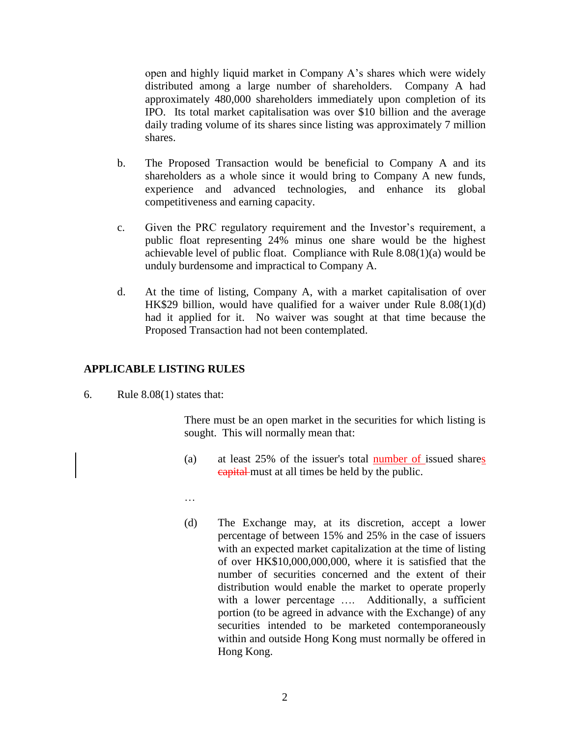open and highly liquid market in Company A's shares which were widely distributed among a large number of shareholders. Company A had approximately 480,000 shareholders immediately upon completion of its IPO. Its total market capitalisation was over \$10 billion and the average daily trading volume of its shares since listing was approximately 7 million shares.

- b. The Proposed Transaction would be beneficial to Company A and its shareholders as a whole since it would bring to Company A new funds, experience and advanced technologies, and enhance its global competitiveness and earning capacity.
- c. Given the PRC regulatory requirement and the Investor's requirement, a public float representing 24% minus one share would be the highest achievable level of public float. Compliance with Rule 8.08(1)(a) would be unduly burdensome and impractical to Company A.
- d. At the time of listing, Company A, with a market capitalisation of over HK\$29 billion, would have qualified for a waiver under Rule 8.08(1)(d) had it applied for it. No waiver was sought at that time because the Proposed Transaction had not been contemplated.

### **APPLICABLE LISTING RULES**

6. Rule 8.08(1) states that:

There must be an open market in the securities for which listing is sought. This will normally mean that:

- (a) at least 25% of the issuer's total number of issued shares capital must at all times be held by the public.
- …
- (d) The Exchange may, at its discretion, accept a lower percentage of between 15% and 25% in the case of issuers with an expected market capitalization at the time of listing of over HK\$10,000,000,000, where it is satisfied that the number of securities concerned and the extent of their distribution would enable the market to operate properly with a lower percentage .... Additionally, a sufficient portion (to be agreed in advance with the Exchange) of any securities intended to be marketed contemporaneously within and outside Hong Kong must normally be offered in Hong Kong.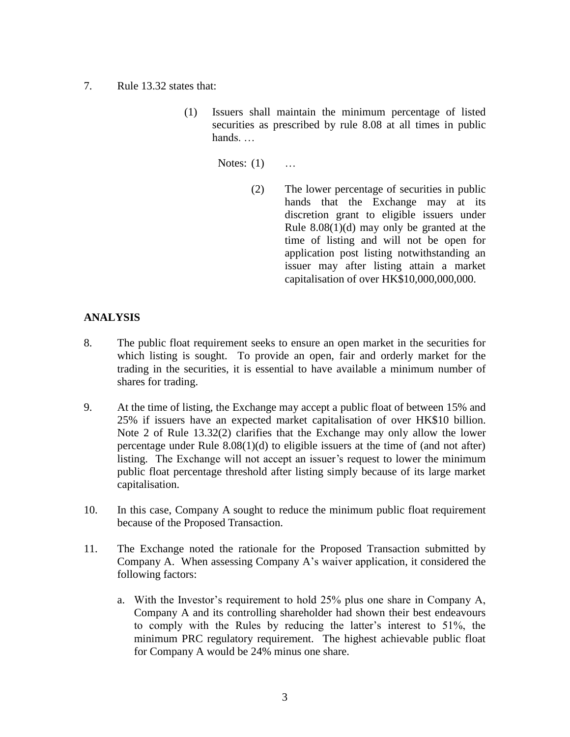- 7. Rule 13.32 states that:
	- (1) Issuers shall maintain the minimum percentage of listed securities as prescribed by rule 8.08 at all times in public hands. …

Notes: (1) …

(2) The lower percentage of securities in public hands that the Exchange may at its discretion grant to eligible issuers under Rule 8.08(1)(d) may only be granted at the time of listing and will not be open for application post listing notwithstanding an issuer may after listing attain a market capitalisation of over HK\$10,000,000,000.

## **ANALYSIS**

- 8. The public float requirement seeks to ensure an open market in the securities for which listing is sought. To provide an open, fair and orderly market for the trading in the securities, it is essential to have available a minimum number of shares for trading.
- 9. At the time of listing, the Exchange may accept a public float of between 15% and 25% if issuers have an expected market capitalisation of over HK\$10 billion. Note 2 of Rule 13.32(2) clarifies that the Exchange may only allow the lower percentage under Rule 8.08(1)(d) to eligible issuers at the time of (and not after) listing. The Exchange will not accept an issuer's request to lower the minimum public float percentage threshold after listing simply because of its large market capitalisation.
- 10. In this case, Company A sought to reduce the minimum public float requirement because of the Proposed Transaction.
- 11. The Exchange noted the rationale for the Proposed Transaction submitted by Company A. When assessing Company A's waiver application, it considered the following factors:
	- a. With the Investor's requirement to hold 25% plus one share in Company A, Company A and its controlling shareholder had shown their best endeavours to comply with the Rules by reducing the latter's interest to 51%, the minimum PRC regulatory requirement. The highest achievable public float for Company A would be 24% minus one share.